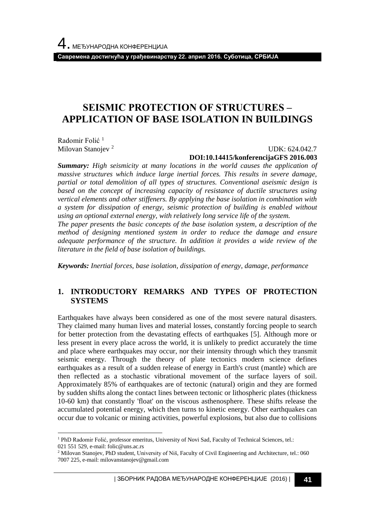**Савремена достигнућа у грађевинарству 22. април 2016. Суботица, СРБИЈА**

# **SEISMIC PROTECTION ОF STRUCTURES – APPLICATION OF BASE ISOLATION IN BUILDINGS**

Radomir Folić<sup>1</sup> Milovan Stanojev<sup>2</sup>

l

 UDK: 624.042.7 **DOI:10.14415/konferencijaGFS 2016.003**

*Summary: High seismicity at many locations in the world causes the application of massive structures which induce large inertial forces. This results in severe damage, partial or total demolition of all types of structures. Conventional aseismic design is based on the concept of increasing capacity of resistance of ductile structures using vertical elements and other stiffeners. By applying the base isolation in combination with a system for dissipation of energy, seismic protection of building is enabled without using an optional external energy, with relatively long service life of the system. The paper presents the basic concepts of the base isolation system, a description of the* 

*method of designing mentioned system in order to reduce the damage and ensure adequate performance of the structure. In addition it provides a wide review of the literature in the field of base isolation of buildings.*

*Keywords: Inertial forces, base isolation, dissipation of energy, damage, performance*

#### **1. INTRODUCTORY REMARKS AND TYPES OF PROTECTION SYSTEMS**

Earthquakes have always been considered as one of the most severe natural disasters. They claimed many human lives and material losses, constantly forcing people to search for better protection from the devastating effects of earthquakes [5]. Although more or less present in every place across the world, it is unlikely to predict accurately the time and place where earthquakes may occur, nor their intensity through which they transmit seismic energy. Through the theory of plate tectonics modern science defines earthquakes as a result of a sudden release of energy in Earth's crust (mantle) which are then reflected as a stochastic vibrational movement of the surface layers of soil. Approximately 85% of earthquakes are of tectonic (natural) origin and they are formed by sudden shifts along the contact lines between tectonic or lithospheric plates (thickness 10-60 km) that constantly 'float' on the viscous asthenosphere. These shifts release the accumulated potential energy, which then turns to kinetic energy. Other earthquakes can occur due to volcanic or mining activities, powerful explosions, but also due to collisions

<sup>1</sup> PhD Radomir Folić, professor emeritus, University of Novi Sad, Faculty of Technical Sciences, tel.: 021 551 529, e-mail: folic@uns.ac.rs

<sup>2</sup> Milovan Stanojev, PhD student, University of Niš, Faculty of Civil Engineering and Architecture, tel.: 060 7007 225, e-mail: milovanstanojev@gmail.com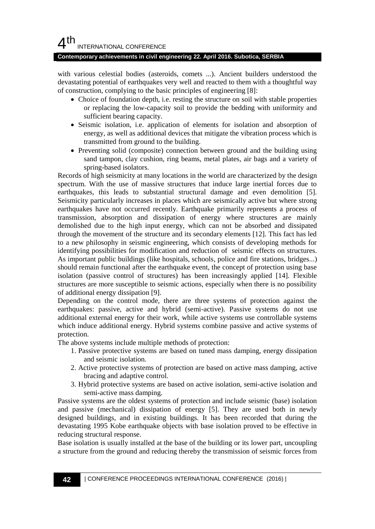#### **Contemporary achievements in civil engineering 22. April 2016. Subotica, SERBIA**

with various celestial bodies (asteroids, comets ...). Ancient builders understood the devastating potential of earthquakes very well and reacted to them with a thoughtful way of construction, complying to the basic principles of engineering [8]:

- Choice of foundation depth, i.e. resting the structure on soil with stable properties or replacing the low-capacity soil to provide the bedding with uniformity and sufficient bearing capacity.
- Seismic isolation, i.e. application of elements for isolation and absorption of energy, as well as additional devices that mitigate the vibration process which is transmitted from ground to the building.
- Preventing solid (composite) connection between ground and the building using sand tampon, clay cushion, ring beams, metal plates, air bags and a variety of spring-based isolators.

Records of high seismicity at many locations in the world are characterized by the design spectrum. With the use of massive structures that induce large inertial forces due to earthquakes, this leads to substantial structural damage and even demolition [5]. Seismicity particularly increases in places which are seismically active but where strong earthquakes have not occurred recently. Earthquake primarily represents a process of transmission, absorption and dissipation of energy where structures are mainly demolished due to the high input energy, which can not be absorbed and dissipated through the movement of the structure and its secondary elements [12]. This fact has led to a new philosophy in seismic engineering, which consists of developing methods for identifying possibilities for modification and reduction of seismic effects on structures. As important public buildings (like hospitals, schools, police and fire stations, bridges...) should remain functional after the earthquake event, the concept of protection using base isolation (passive control of structures) has been increasingly applied [14]. Flexible structures are more susceptible to seismic actions, especially when there is no possibility of additional energy dissipation [9].

Depending on the control mode, there are three systems of protection against the earthquakes: passive, active and hybrid (semi-active). Passive systems do not use additional external energy for their work, while active systems use controllable systems which induce additional energy. Hybrid systems combine passive and active systems of protection.

The above systems include multiple methods of protection:

- 1. Passive protective systems are based on tuned mass damping, energy dissipation and seismic isolation.
- 2. Active protective systems of protection are based on active mass damping, active bracing and adaptive control.
- 3. Hybrid protective systems are based on active isolation, semi-active isolation and semi-active mass damping.

Passive systems are the oldest systems of protection and include seismic (base) isolation and passive (mechanical) dissipation of energy [5]. They are used both in newly designed buildings, and in existing buildings. It has been recorded that during the devastating 1995 Kobe earthquake objects with base isolation proved to be effective in reducing structural response.

Base isolation is usually installed at the base of the building or its lower part, uncoupling a structure from the ground and reducing thereby the transmission of seismic forces from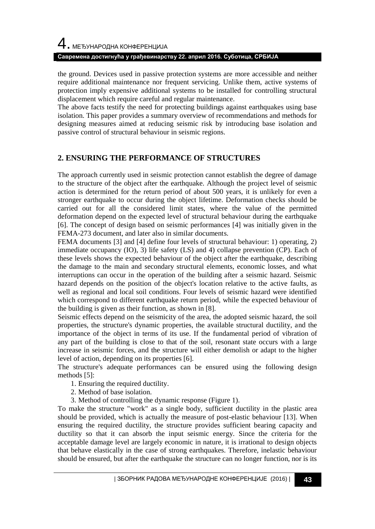# 4. МЕЂУНАРОДНА КОНФЕРЕНЦИЈА **Савремена достигнућа у грађевинарству 22. април 2016. Суботица, СРБИЈА**

the ground. Devices used in passive protection systems are more accessible and neither require additional maintenance nor frequent servicing. Unlike them, active systems of protection imply expensive additional systems to be installed for controlling structural displacement which require careful and regular maintenance.

The above facts testify the need for protecting buildings against earthquakes using base isolation. This paper provides a summary overview of recommendations and methods for designing measures aimed at reducing seismic risk by introducing base isolation and passive control of structural behaviour in seismic regions.

#### **2. ENSURING THE PERFORMANCE OF STRUCTURES**

The approach currently used in seismic protection cannot establish the degree of damage to the structure of the object after the earthquake. Although the project level of seismic action is determined for the return period of about 500 years, it is unlikely for even a stronger earthquake to occur during the object lifetime. Deformation checks should be carried out for all the considered limit states, where the value of the permitted deformation depend on the expected level of structural behaviour during the earthquake [6]. The concept of design based on seismic performances [4] was initially given in the FEMA-273 document, and later also in similar documents.

FEMA documents [3] and [4] define four levels of structural behaviour: 1) operating, 2) immediate occupancy (IO), 3) life safety (LS) and 4) collapse prevention (CP). Each of these levels shows the expected behaviour of the object after the earthquake, describing the damage to the main and secondary structural elements, economic losses, and what interruptions can occur in the operation of the building after a seismic hazard. Seismic hazard depends on the position of the object's location relative to the active faults, as well as regional and local soil conditions. Four levels of seismic hazard were identified which correspond to different earthquake return period, while the expected behaviour of the building is given as their function, as shown in [8].

Seismic effects depend on the seismicity of the area, the adopted seismic hazard, the soil properties, the structure's dynamic properties, the available structural ductility, and the importance of the object in terms of its use. If the fundamental period of vibration of any part of the building is close to that of the soil, resonant state occurs with a large increase in seismic forces, and the structure will either demolish or adapt to the higher level of action, depending on its properties [6].

The structure's adequate performances can be ensured using the following design methods [5]:

- 1. Ensuring the required ductility.
- 2. Method of base isolation.
- 3. Method of controlling the dynamic response (Figure 1).

To make the structure "work" as a single body, sufficient ductility in the plastic area should be provided, which is actually the measure of post-elastic behaviour [13]. When ensuring the required ductility, the structure provides sufficient bearing capacity and ductility so that it can absorb the input seismic energy. Since the criteria for the acceptable damage level are largely economic in nature, it is irrational to design objects that behave elastically in the case of strong earthquakes. Therefore, inelastic behaviour should be ensured, but after the earthquake the structure can no longer function, nor is its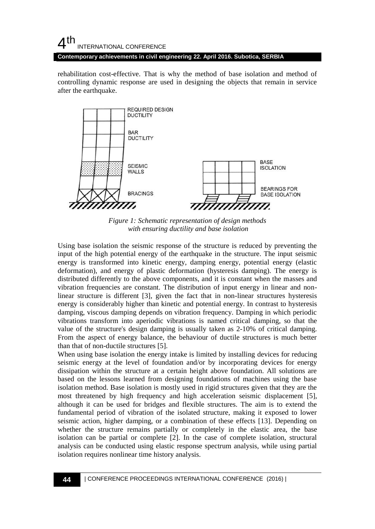#### $4<sup>th</sup>$ INTERNATIONAL CONFERENCE **Contemporary achievements in civil engineering 22. April 2016. Subotica, SERBIA**

rehabilitation cost-effective. That is why the method of base isolation and method of controlling dynamic response are used in designing the objects that remain in service after the earthquake.



*Figure 1: Schematic representation of design methods with ensuring ductility and base isolation*

Using base isolation the seismic response of the structure is reduced by preventing the input of the high potential energy of the earthquake in the structure. The input seismic energy is transformed into kinetic energy, damping energy, potential energy (elastic deformation), and energy of plastic deformation (hysteresis damping). The energy is distributed differently to the above components, and it is constant when the masses and vibration frequencies are constant. The distribution of input energy in linear and nonlinear structure is different [3], given the fact that in non-linear structures hysteresis energy is considerably higher than kinetic and potential energy. In contrast to hysteresis damping, viscous damping depends on vibration frequency. Damping in which periodic vibrations transform into aperiodic vibrations is named critical damping, so that the value of the structure's design damping is usually taken as 2-10% of critical damping. From the aspect of energy balance, the behaviour of ductile structures is much better than that of non-ductile structures [5].

When using base isolation the energy intake is limited by installing devices for reducing seismic energy at the level of foundation and/or by incorporating devices for energy dissipation within the structure at a certain height above foundation. All solutions are based on the lessons learned from designing foundations of machines using the base isolation method. Base isolation is mostly used in rigid structures given that they are the most threatened by high frequency and high acceleration seismic displacement [5], although it can be used for bridges and flexible structures. The aim is to extend the fundamental period of vibration of the isolated structure, making it exposed to lower seismic action, higher damping, or a combination of these effects [13]. Depending on whether the structure remains partially or completely in the elastic area, the base isolation can be partial or complete [2]. In the case of complete isolation, structural analysis can be conducted using elastic response spectrum analysis, while using partial isolation requires nonlinear time history analysis.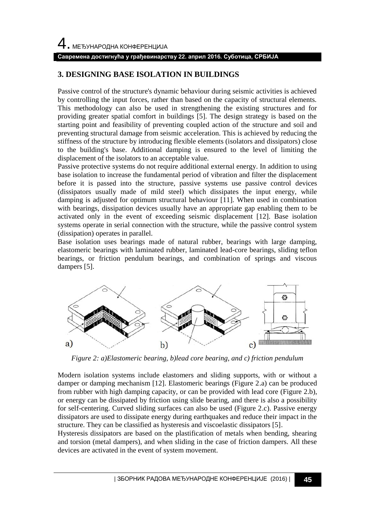#### **Савремена достигнућа у грађевинарству 22. април 2016. Суботица, СРБИЈА**

## **3. DESIGNING BASE ISOLATION IN BUILDINGS**

Passive control of the structure's dynamic behaviour during seismic activities is achieved by controlling the input forces, rather than based on the capacity of structural elements. This methodology can also be used in strengthening the existing structures and for providing greater spatial comfort in buildings [5]. The design strategy is based on the starting point and feasibility of preventing coupled action of the structure and soil and preventing structural damage from seismic acceleration. This is achieved by reducing the stiffness of the structure by introducing flexible elements (isolators and dissipators) close to the building's base. Additional damping is ensured to the level of limiting the displacement of the isolators to an acceptable value.

Passive protective systems do not require additional external energy. In addition to using base isolation to increase the fundamental period of vibration and filter the displacement before it is passed into the structure, passive systems use passive control devices (dissipators usually made of mild steel) which dissipates the input energy, while damping is adjusted for optimum structural behaviour [11]. When used in combination with bearings, dissipation devices usually have an appropriate gap enabling them to be activated only in the event of exceeding seismic displacement [12]. Base isolation systems operate in serial connection with the structure, while the passive control system (dissipation) operates in parallel.

Base isolation uses bearings made of natural rubber, bearings with large damping, elastomeric bearings with laminated rubber, laminated lead-core bearings, sliding teflon bearings, or friction pendulum bearings, and combination of springs and viscous dampers [5].



*Figure 2: a)Elastomeric bearing, b)lead core bearing, and c) friction pendulum*

Modern isolation systems include elastomers and sliding supports, with or without a damper or damping mechanism [12]. Elastomeric bearings (Figure 2.a) can be produced from rubber with high damping capacity, or can be provided with lead core (Figure 2.b), or energy can be dissipated by friction using slide bearing, and there is also a possibility for self-centering. Curved sliding surfaces can also be used (Figure 2.c). Passive energy dissipators are used to dissipate energy during earthquakes and reduce their impact in the structure. They can be classified as hysteresis and viscoelastic dissipators [5].

Hysteresis dissipators are based on the plastification of metals when bending, shearing and torsion (metal dampers), and when sliding in the case of friction dampers. All these devices are activated in the event of system movement.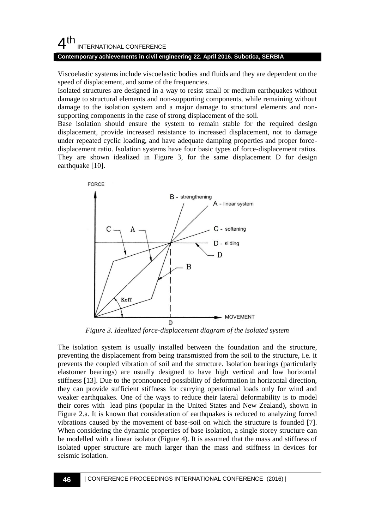#### **Contemporary achievements in civil engineering 22. April 2016. Subotica, SERBIA**

Viscoelastic systems include viscoelastic bodies and fluids and they are dependent on the speed of displacement, and some of the frequencies.

Isolated structures are designed in a way to resist small or medium earthquakes without damage to structural elements and non-supporting components, while remaining without damage to the isolation system and a major damage to structural elements and nonsupporting components in the case of strong displacement of the soil.

Base isolation should ensure the system to remain stable for the required design displacement, provide increased resistance to increased displacement, not to damage under repeated cyclic loading, and have adequate damping properties and proper forcedisplacement ratio. Isolation systems have four basic types of force-displacement ratios. They are shown idealized in Figure 3, for the same displacement D for design earthquake [10].



*Figure 3. Idealized force-displacement diagram of the isolated system*

The isolation system is usually installed between the foundation and the structure, preventing the displacement from being transmistted from the soil to the structure, i.e. it prevents the coupled vibration of soil and the structure. Isolation bearings (particularly elastomer bearings) are usually designed to have high vertical and low horizontal stiffness [13]. Due to the pronnounced possibility of deformation in horizontal direction, they can provide sufficient stiffness for carrying operational loads only for wind and weaker earthquakes. One of the ways to reduce their lateral deformability is to model their cores with lead pins (popular in the United States and New Zealand), shown in Figure 2.a. It is known that consideration of earthquakes is reduced to analyzing forced vibrations caused by the movement of base-soil on which the structure is founded [7]. When considering the dynamic properties of base isolation, a single storey structure can be modelled with a linear isolator (Figure 4). It is assumed that the mass and stiffness of isolated upper structure are much larger than the mass and stiffness in devices for seismic isolation.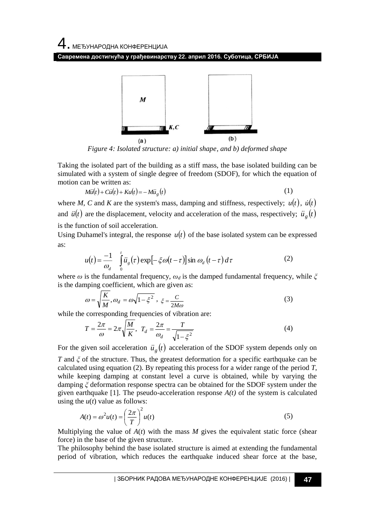4. МЕЂУНАРОДНА КОНФЕРЕНЦИЈА

**Савремена достигнућа у грађевинарству 22. април 2016. Суботица, СРБИЈА**



*Figure 4: Isolated structure: a) initial shape, and b) deformed shape*

Taking the isolated part of the building as a stiff mass, the base isolated building can be simulated with a system of single degree of freedom (SDOF), for which the equation of motion can be written as:

$$
M\ddot{u}(t) + C\dot{u}(t) + Ku(t) = -M\ddot{u}_g(t)
$$
\n(1)

where *M*, *C* and *K* are the system's mass, damping and stiffness, respectively;  $u(t)$ ,  $\dot{u}(t)$ and  $\ddot{u}(t)$  are the displacement, velocity and acceleration of the mass, respectively;  $\ddot{u}_g(t)$ 

is the function of soil acceleration.

Using Duhamel's integral, the response  $u(t)$  of the base isolated system can be expressed as:

$$
u(t) = \frac{-1}{\omega_d} \int_0^t \ddot{u}_s(\tau) \exp[-\xi \omega(t-\tau)] \sin \omega_d(t-\tau) d\tau
$$
 (2)

where *ω* is the fundamental frequency, *ω<sup>d</sup>* is the damped fundamental frequency, while *ξ* is the damping coefficient, which are given as:

$$
\omega = \sqrt{\frac{K}{M}}, \omega_d = \omega \sqrt{1 - \xi^2}, \xi = \frac{C}{2M\omega}
$$
\n(3)

while the corresponding frequencies of vibration are:

$$
T = \frac{2\pi}{\omega} = 2\pi \sqrt{\frac{M}{K}}, \ T_d = \frac{2\pi}{\omega_d} = \frac{T}{\sqrt{1 - \xi^2}}
$$
(4)

For the given soil acceleration  $\ddot{u}_g(t)$  acceleration of the SDOF system depends only on

*T* and *ξ* of the structure. Thus, the greatest deformation for a specific earthquake can be calculated using equation (2). By repeating this process for a wider range of the period *T*, while keeping damping at constant level a curve is obtained, while by varying the damping *ξ* deformation response spectra can be obtained for the SDOF system under the given earthquake [1]. The pseudo-acceleration response  $A(t)$  of the system is calculated using the  $u(t)$  value as follows:

$$
A(t) = \omega^2 u(t) = \left(\frac{2\pi}{T}\right)^2 u(t)
$$
\n(5)

Multiplying the value of  $A(t)$  with the mass  $M$  gives the equivalent static force (shear force) in the base of the given structure.

The philosophy behind the base isolated structure is aimed at extending the fundamental period of vibration, which reduces the earthquake induced shear force at the base,

| ЗБОРНИК РАДОВА МЕЂУНАРОДНЕ КОНФЕРЕНЦИЈЕ (2016) | **47**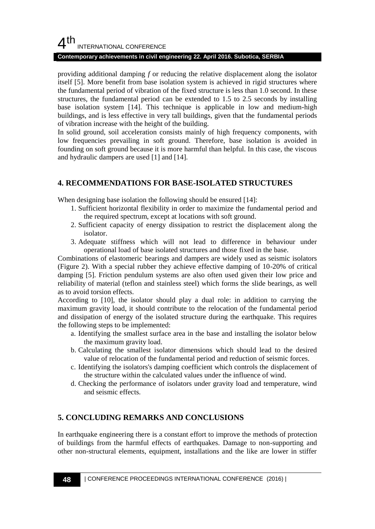#### **Contemporary achievements in civil engineering 22. April 2016. Subotica, SERBIA**

providing additional damping *f* or reducing the relative displacement along the isolator itself [5]. More benefit from base isolation system is achieved in rigid structures where the fundamental period of vibration of the fixed structure is less than 1.0 second. In these structures, the fundamental period can be extended to 1.5 to 2.5 seconds by installing base isolation system [14]. This technique is applicable in low and medium-high buildings, and is less effective in very tall buildings, given that the fundamental periods of vibration increase with the height of the building.

In solid ground, soil acceleration consists mainly of high frequency components, with low frequencies prevailing in soft ground. Therefore, base isolation is avoided in founding on soft ground because it is more harmful than helpful. In this case, the viscous and hydraulic dampers are used [1] and [14].

### **4. RECOMMENDATIONS FOR BASE-ISOLATED STRUCTURES**

When designing base isolation the following should be ensured [14]:

- 1. Sufficient horizontal flexibility in order to maximize the fundamental period and the required spectrum, except at locations with soft ground.
- 2. Sufficient capacity of energy dissipation to restrict the displacement along the isolator.
- 3. Adequate stiffness which will not lead to difference in behaviour under operational load of base isolated structures and those fixed in the base.

Combinations of elastomeric bearings and dampers are widely used as seismic isolators (Figure 2). With a special rubber they achieve effective damping of 10-20% of critical damping [5]. Friction pendulum systems are also often used given their low price and reliability of material (teflon and stainless steel) which forms the slide bearings, as well as to avoid torsion effects.

According to [10], the isolator should play a dual role: in addition to carrying the maximum gravity load, it should contribute to the relocation of the fundamental period and dissipation of energy of the isolated structure during the earthquake. This requires the following steps to be implemented:

- a. Identifying the smallest surface area in the base and installing the isolator below the maximum gravity load.
- b. Calculating the smallest isolator dimensions which should lead to the desired value of relocation of the fundamental period and reduction of seismic forces.
- c. Identifying the isolators's damping coefficient which controls the displacement of the structure within the calculated values under the influence of wind.
- d. Checking the performance of isolators under gravity load and temperature, wind and seismic effects.

## **5. CONCLUDING REMARKS AND CONCLUSIONS**

In earthquake engineering there is a constant effort to improve the methods of protection of buildings from the harmful effects of earthquakes. Damage to non-supporting and other non-structural elements, equipment, installations and the like are lower in stiffer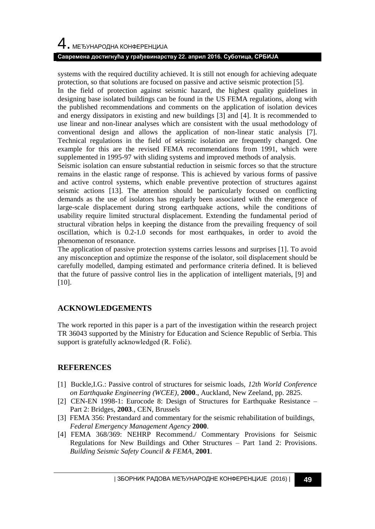# 4. МЕЂУНАРОДНА КОНФЕРЕНЦИЈА

#### **Савремена достигнућа у грађевинарству 22. април 2016. Суботица, СРБИЈА**

systems with the required ductility achieved. It is still not enough for achieving adequate protection, so that solutions are focused on passive and active seismic protection [5].

In the field of protection against seismic hazard, the highest quality guidelines in designing base isolated buildings can be found in the US FEMA regulations, along with the published recommendations and comments on the application of isolation devices and energy dissipators in existing and new buildings [3] and [4]. It is recommended to use linear and non-linear analyses which are consistent with the usual methodology of conventional design and allows the application of non-linear static analysis [7]. Technical regulations in the field of seismic isolation are frequently changed. One example for this are the revised FEMA recommendations from 1991, which were supplemented in 1995-97 with sliding systems and improved methods of analysis.

Seismic isolation can ensure substantial reduction in seismic forces so that the structure remains in the elastic range of response. This is achieved by various forms of passive and active control systems, which enable preventive protection of structures against seismic actions [13]. The attention should be particularly focused on conflicting demands as the use of isolators has regularly been associated with the emergence of large-scale displacement during strong earthquake actions, while the conditions of usability require limited structural displacement. Extending the fundamental period of structural vibration helps in keeping the distance from the prevailing frequency of soil oscillation, which is 0.2-1.0 seconds for most earthquakes, in order to avoid the phenomenon of resonance.

The application of passive protection systems carries lessons and surprises [1]. To avoid any misconception and optimize the response of the isolator, soil displacement should be carefully modelled, damping estimated and performance criteria defined. It is believed that the future of passive control lies in the application of intelligent materials, [9] and [10].

## **ACKNOWLEDGEMENTS**

The work reported in this paper is a part of the investigation within the research project TR 36043 supported by the Ministry for Education and Science Republic of Serbia. This support is gratefully acknowledged (R. Folić).

## **REFERENCES**

- [1] Buckle,I.G.: Passive control of structures for seismic loads, *12th World Conference on Earthquake Engineering (WCEE)*, **2000**., Auckland, New Zeeland, pp. 2825.
- [2] CEN-EN 1998-1: Eurocode 8: Design of Structures for Earthquake Resistance Part 2: Bridges, **2003**., CEN, Brussels
- [3] FEMA 356: Prestandard and commentary for the seismic rehabilitation of buildings, *Federal Emergency Management Agency* **2000**.
- [4] FEMA 368/369: NEHRP Recommend./ Commentary Provisions for Seismic Regulations for New Buildings and Other Structures – Part 1and 2: Provisions. *Building Seismic Safety Council & FEMA*, **2001**.